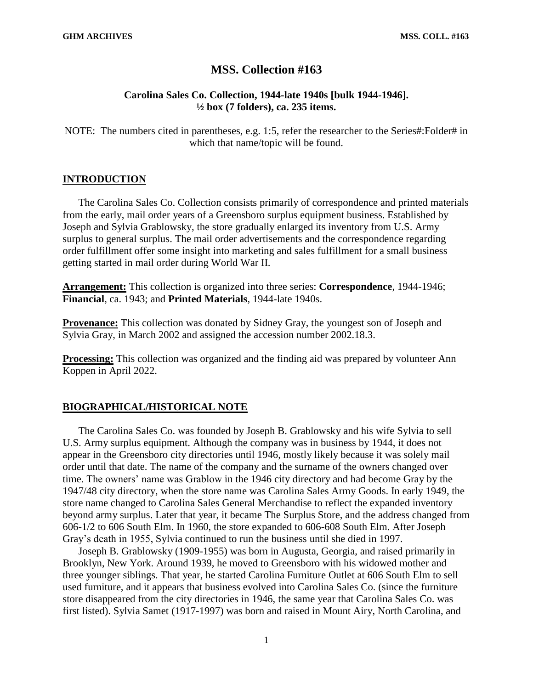# **MSS. Collection #163**

## **Carolina Sales Co. Collection, 1944-late 1940s [bulk 1944-1946]. ½ box (7 folders), ca. 235 items.**

NOTE: The numbers cited in parentheses, e.g. 1:5, refer the researcher to the Series#:Folder# in which that name/topic will be found.

#### **INTRODUCTION**

The Carolina Sales Co. Collection consists primarily of correspondence and printed materials from the early, mail order years of a Greensboro surplus equipment business. Established by Joseph and Sylvia Grablowsky, the store gradually enlarged its inventory from U.S. Army surplus to general surplus. The mail order advertisements and the correspondence regarding order fulfillment offer some insight into marketing and sales fulfillment for a small business getting started in mail order during World War II.

**Arrangement:** This collection is organized into three series: **Correspondence**, 1944-1946; **Financial**, ca. 1943; and **Printed Materials**, 1944-late 1940s.

**Provenance:** This collection was donated by Sidney Gray, the youngest son of Joseph and Sylvia Gray, in March 2002 and assigned the accession number 2002.18.3.

**Processing:** This collection was organized and the finding aid was prepared by volunteer Ann Koppen in April 2022.

#### **BIOGRAPHICAL/HISTORICAL NOTE**

The Carolina Sales Co. was founded by Joseph B. Grablowsky and his wife Sylvia to sell U.S. Army surplus equipment. Although the company was in business by 1944, it does not appear in the Greensboro city directories until 1946, mostly likely because it was solely mail order until that date. The name of the company and the surname of the owners changed over time. The owners' name was Grablow in the 1946 city directory and had become Gray by the 1947/48 city directory, when the store name was Carolina Sales Army Goods. In early 1949, the store name changed to Carolina Sales General Merchandise to reflect the expanded inventory beyond army surplus. Later that year, it became The Surplus Store, and the address changed from 606-1/2 to 606 South Elm. In 1960, the store expanded to 606-608 South Elm. After Joseph Gray's death in 1955, Sylvia continued to run the business until she died in 1997.

Joseph B. Grablowsky (1909-1955) was born in Augusta, Georgia, and raised primarily in Brooklyn, New York. Around 1939, he moved to Greensboro with his widowed mother and three younger siblings. That year, he started Carolina Furniture Outlet at 606 South Elm to sell used furniture, and it appears that business evolved into Carolina Sales Co. (since the furniture store disappeared from the city directories in 1946, the same year that Carolina Sales Co. was first listed). Sylvia Samet (1917-1997) was born and raised in Mount Airy, North Carolina, and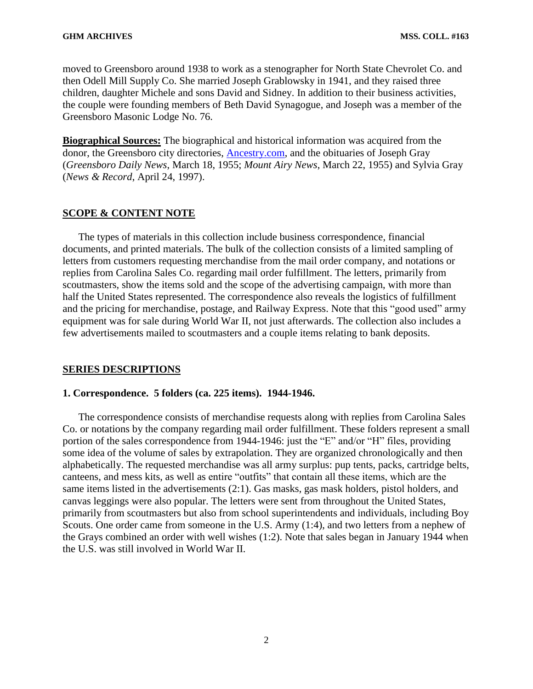moved to Greensboro around 1938 to work as a stenographer for North State Chevrolet Co. and then Odell Mill Supply Co. She married Joseph Grablowsky in 1941, and they raised three children, daughter Michele and sons David and Sidney. In addition to their business activities, the couple were founding members of Beth David Synagogue, and Joseph was a member of the Greensboro Masonic Lodge No. 76.

**Biographical Sources:** The biographical and historical information was acquired from the donor, the Greensboro city directories, [Ancestry.com,](https://ancestry.com/) and the obituaries of Joseph Gray (*Greensboro Daily News*, March 18, 1955; *Mount Airy News*, March 22, 1955) and Sylvia Gray (*News & Record*, April 24, 1997).

#### **SCOPE & CONTENT NOTE**

The types of materials in this collection include business correspondence, financial documents, and printed materials. The bulk of the collection consists of a limited sampling of letters from customers requesting merchandise from the mail order company, and notations or replies from Carolina Sales Co. regarding mail order fulfillment. The letters, primarily from scoutmasters, show the items sold and the scope of the advertising campaign, with more than half the United States represented. The correspondence also reveals the logistics of fulfillment and the pricing for merchandise, postage, and Railway Express. Note that this "good used" army equipment was for sale during World War II, not just afterwards. The collection also includes a few advertisements mailed to scoutmasters and a couple items relating to bank deposits.

#### **SERIES DESCRIPTIONS**

#### **1. Correspondence. 5 folders (ca. 225 items). 1944-1946.**

The correspondence consists of merchandise requests along with replies from Carolina Sales Co. or notations by the company regarding mail order fulfillment. These folders represent a small portion of the sales correspondence from 1944-1946: just the "E" and/or "H" files, providing some idea of the volume of sales by extrapolation. They are organized chronologically and then alphabetically. The requested merchandise was all army surplus: pup tents, packs, cartridge belts, canteens, and mess kits, as well as entire "outfits" that contain all these items, which are the same items listed in the advertisements (2:1). Gas masks, gas mask holders, pistol holders, and canvas leggings were also popular. The letters were sent from throughout the United States, primarily from scoutmasters but also from school superintendents and individuals, including Boy Scouts. One order came from someone in the U.S. Army (1:4), and two letters from a nephew of the Grays combined an order with well wishes (1:2). Note that sales began in January 1944 when the U.S. was still involved in World War II.